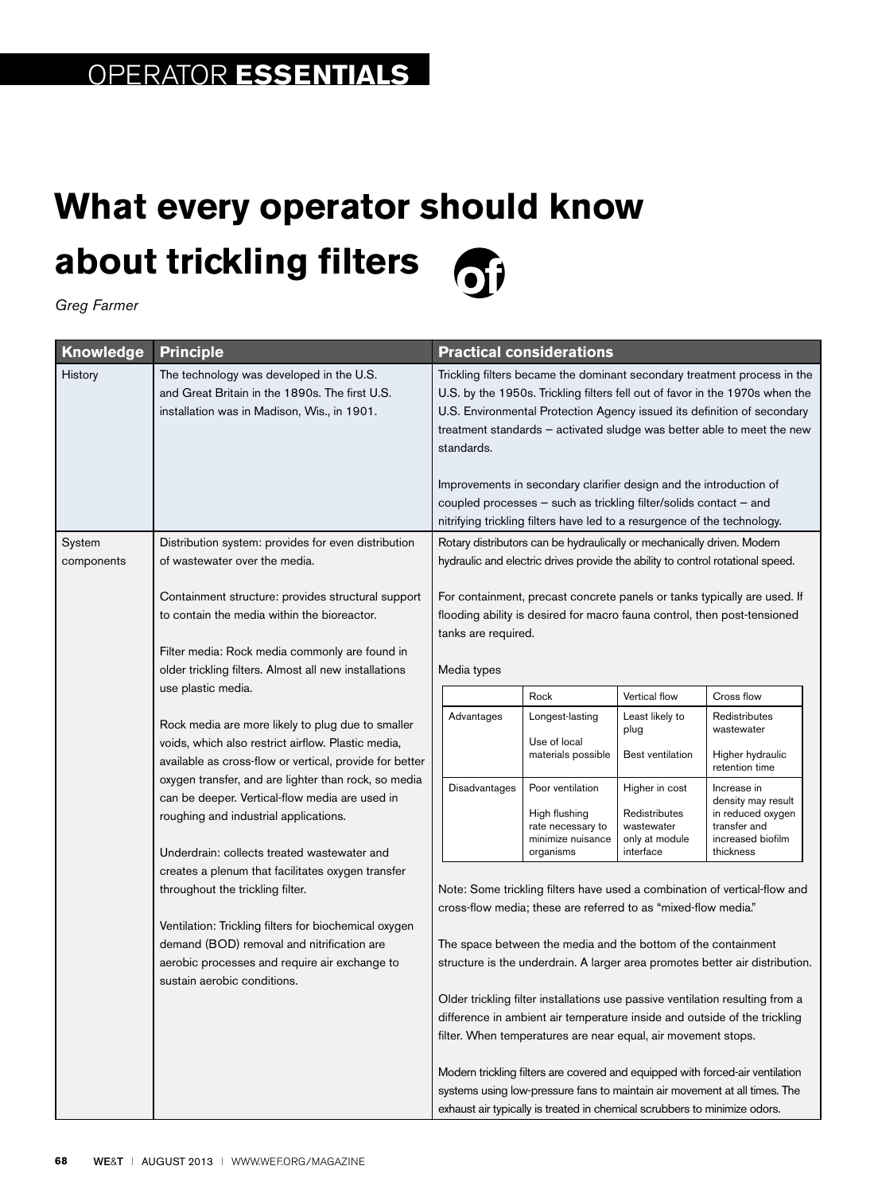## **What every operator should know about trickling filters**  $\overline{\bullet}$

*Greg Farmer*

| <b>Knowledge</b> | <b>Principle</b>                                                                                                                                                                                                                                                                                                                                                     | <b>Practical considerations</b>                                                                                                                                                                                                                                                                                             |                                                                                          |                                                                              |                                                                                                          |  |
|------------------|----------------------------------------------------------------------------------------------------------------------------------------------------------------------------------------------------------------------------------------------------------------------------------------------------------------------------------------------------------------------|-----------------------------------------------------------------------------------------------------------------------------------------------------------------------------------------------------------------------------------------------------------------------------------------------------------------------------|------------------------------------------------------------------------------------------|------------------------------------------------------------------------------|----------------------------------------------------------------------------------------------------------|--|
| History          | The technology was developed in the U.S.<br>and Great Britain in the 1890s. The first U.S.<br>installation was in Madison, Wis., in 1901.                                                                                                                                                                                                                            | Trickling filters became the dominant secondary treatment process in the<br>U.S. by the 1950s. Trickling filters fell out of favor in the 1970s when the<br>U.S. Environmental Protection Agency issued its definition of secondary<br>treatment standards - activated sludge was better able to meet the new<br>standards. |                                                                                          |                                                                              |                                                                                                          |  |
|                  |                                                                                                                                                                                                                                                                                                                                                                      | Improvements in secondary clarifier design and the introduction of<br>coupled processes – such as trickling filter/solids contact – and<br>nitrifying trickling filters have led to a resurgence of the technology.                                                                                                         |                                                                                          |                                                                              |                                                                                                          |  |
| System           | Distribution system: provides for even distribution                                                                                                                                                                                                                                                                                                                  | Rotary distributors can be hydraulically or mechanically driven. Modern                                                                                                                                                                                                                                                     |                                                                                          |                                                                              |                                                                                                          |  |
| components       | of wastewater over the media.                                                                                                                                                                                                                                                                                                                                        | hydraulic and electric drives provide the ability to control rotational speed.                                                                                                                                                                                                                                              |                                                                                          |                                                                              |                                                                                                          |  |
|                  | Containment structure: provides structural support<br>to contain the media within the bioreactor.                                                                                                                                                                                                                                                                    | For containment, precast concrete panels or tanks typically are used. If<br>flooding ability is desired for macro fauna control, then post-tensioned<br>tanks are required.                                                                                                                                                 |                                                                                          |                                                                              |                                                                                                          |  |
|                  | Filter media: Rock media commonly are found in                                                                                                                                                                                                                                                                                                                       |                                                                                                                                                                                                                                                                                                                             |                                                                                          |                                                                              |                                                                                                          |  |
|                  | older trickling filters. Almost all new installations                                                                                                                                                                                                                                                                                                                |                                                                                                                                                                                                                                                                                                                             | Media types                                                                              |                                                                              |                                                                                                          |  |
|                  | use plastic media.                                                                                                                                                                                                                                                                                                                                                   |                                                                                                                                                                                                                                                                                                                             | Rock                                                                                     | Vertical flow                                                                | Cross flow                                                                                               |  |
|                  | Rock media are more likely to plug due to smaller<br>voids, which also restrict airflow. Plastic media,<br>available as cross-flow or vertical, provide for better<br>oxygen transfer, and are lighter than rock, so media<br>can be deeper. Vertical-flow media are used in<br>roughing and industrial applications.<br>Underdrain: collects treated wastewater and | Advantages                                                                                                                                                                                                                                                                                                                  | Longest-lasting<br>Use of local<br>materials possible                                    | Least likely to<br>plug<br>Best ventilation                                  | Redistributes<br>wastewater<br>Higher hydraulic<br>retention time                                        |  |
|                  |                                                                                                                                                                                                                                                                                                                                                                      | Disadvantages                                                                                                                                                                                                                                                                                                               | Poor ventilation<br>High flushing<br>rate necessary to<br>minimize nuisance<br>organisms | Higher in cost<br>Redistributes<br>wastewater<br>only at module<br>interface | Increase in<br>density may result<br>in reduced oxygen<br>transfer and<br>increased biofilm<br>thickness |  |
|                  | creates a plenum that facilitates oxygen transfer<br>throughout the trickling filter.<br>Ventilation: Trickling filters for biochemical oxygen                                                                                                                                                                                                                       | Note: Some trickling filters have used a combination of vertical-flow and<br>cross-flow media; these are referred to as "mixed-flow media."                                                                                                                                                                                 |                                                                                          |                                                                              |                                                                                                          |  |
|                  | demand (BOD) removal and nitrification are<br>aerobic processes and require air exchange to                                                                                                                                                                                                                                                                          | The space between the media and the bottom of the containment<br>structure is the underdrain. A larger area promotes better air distribution.                                                                                                                                                                               |                                                                                          |                                                                              |                                                                                                          |  |
|                  | sustain aerobic conditions.                                                                                                                                                                                                                                                                                                                                          | Older trickling filter installations use passive ventilation resulting from a<br>difference in ambient air temperature inside and outside of the trickling<br>filter. When temperatures are near equal, air movement stops.                                                                                                 |                                                                                          |                                                                              |                                                                                                          |  |
|                  |                                                                                                                                                                                                                                                                                                                                                                      | Modern trickling filters are covered and equipped with forced-air ventilation<br>systems using low-pressure fans to maintain air movement at all times. The<br>exhaust air typically is treated in chemical scrubbers to minimize odors.                                                                                    |                                                                                          |                                                                              |                                                                                                          |  |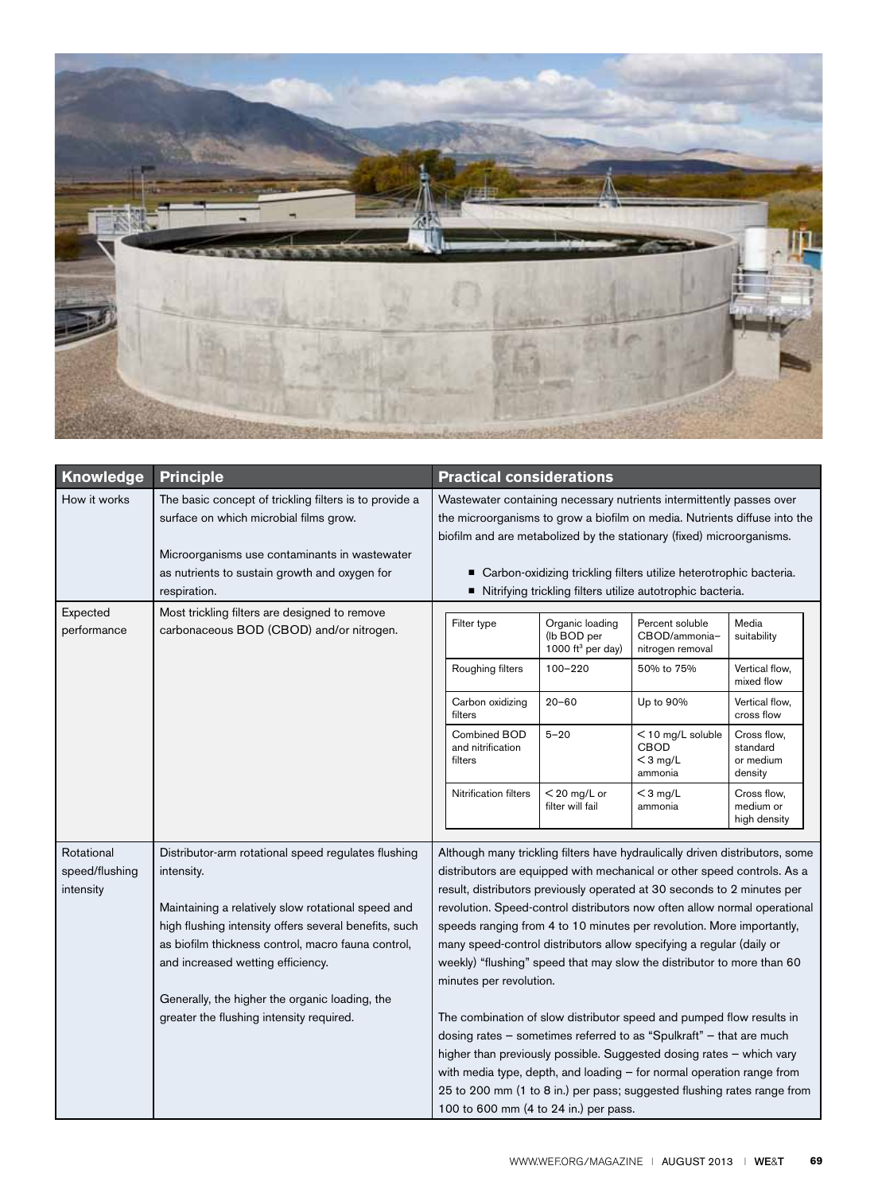

| Knowledge                                 | <b>Principle</b>                                                                                                                                                                                                                                                                                                                                                          | <b>Practical considerations</b>                                                                                                                                                                                                                                                                                                                                                                                                                                                                                                                                                                                                                                                                                                                                                                                                                                                                                                                                                             |  |  |  |
|-------------------------------------------|---------------------------------------------------------------------------------------------------------------------------------------------------------------------------------------------------------------------------------------------------------------------------------------------------------------------------------------------------------------------------|---------------------------------------------------------------------------------------------------------------------------------------------------------------------------------------------------------------------------------------------------------------------------------------------------------------------------------------------------------------------------------------------------------------------------------------------------------------------------------------------------------------------------------------------------------------------------------------------------------------------------------------------------------------------------------------------------------------------------------------------------------------------------------------------------------------------------------------------------------------------------------------------------------------------------------------------------------------------------------------------|--|--|--|
| How it works                              | The basic concept of trickling filters is to provide a<br>surface on which microbial films grow.<br>Microorganisms use contaminants in wastewater<br>as nutrients to sustain growth and oxygen for<br>respiration.                                                                                                                                                        | Wastewater containing necessary nutrients intermittently passes over<br>the microorganisms to grow a biofilm on media. Nutrients diffuse into the<br>biofilm and are metabolized by the stationary (fixed) microorganisms.<br>■ Carbon-oxidizing trickling filters utilize heterotrophic bacteria.<br>Nitrifying trickling filters utilize autotrophic bacteria.                                                                                                                                                                                                                                                                                                                                                                                                                                                                                                                                                                                                                            |  |  |  |
| Expected<br>performance                   | Most trickling filters are designed to remove<br>carbonaceous BOD (CBOD) and/or nitrogen.                                                                                                                                                                                                                                                                                 | Organic loading<br>Percent soluble<br>Media<br>Filter type<br>(Ib BOD per<br>CBOD/ammonia-<br>suitability<br>1000 ft <sup>3</sup> per day)<br>nitrogen removal<br>Roughing filters<br>100-220<br>50% to 75%<br>Vertical flow,                                                                                                                                                                                                                                                                                                                                                                                                                                                                                                                                                                                                                                                                                                                                                               |  |  |  |
|                                           |                                                                                                                                                                                                                                                                                                                                                                           | mixed flow<br>$20 - 60$<br>Carbon oxidizing<br>Up to 90%<br>Vertical flow,<br>cross flow<br>filters                                                                                                                                                                                                                                                                                                                                                                                                                                                                                                                                                                                                                                                                                                                                                                                                                                                                                         |  |  |  |
|                                           |                                                                                                                                                                                                                                                                                                                                                                           | Combined BOD<br>$5 - 20$<br>$<$ 10 mg/L soluble<br>Cross flow,<br>CBOD<br>and nitrification<br>standard<br>filters<br>$<$ 3 mg/L<br>or medium<br>density<br>ammonia                                                                                                                                                                                                                                                                                                                                                                                                                                                                                                                                                                                                                                                                                                                                                                                                                         |  |  |  |
|                                           |                                                                                                                                                                                                                                                                                                                                                                           | $<$ 20 mg/L or<br>$<$ 3 mg/L<br>Nitrification filters<br>Cross flow,<br>filter will fail<br>medium or<br>ammonia<br>high density                                                                                                                                                                                                                                                                                                                                                                                                                                                                                                                                                                                                                                                                                                                                                                                                                                                            |  |  |  |
| Rotational<br>speed/flushing<br>intensity | Distributor-arm rotational speed regulates flushing<br>intensity.<br>Maintaining a relatively slow rotational speed and<br>high flushing intensity offers several benefits, such<br>as biofilm thickness control, macro fauna control,<br>and increased wetting efficiency.<br>Generally, the higher the organic loading, the<br>greater the flushing intensity required. | Although many trickling filters have hydraulically driven distributors, some<br>distributors are equipped with mechanical or other speed controls. As a<br>result, distributors previously operated at 30 seconds to 2 minutes per<br>revolution. Speed-control distributors now often allow normal operational<br>speeds ranging from 4 to 10 minutes per revolution. More importantly,<br>many speed-control distributors allow specifying a regular (daily or<br>weekly) "flushing" speed that may slow the distributor to more than 60<br>minutes per revolution.<br>The combination of slow distributor speed and pumped flow results in<br>dosing rates - sometimes referred to as "Spulkraft" - that are much<br>higher than previously possible. Suggested dosing rates - which vary<br>with media type, depth, and loading $-$ for normal operation range from<br>25 to 200 mm (1 to 8 in.) per pass; suggested flushing rates range from<br>100 to 600 mm (4 to 24 in.) per pass. |  |  |  |